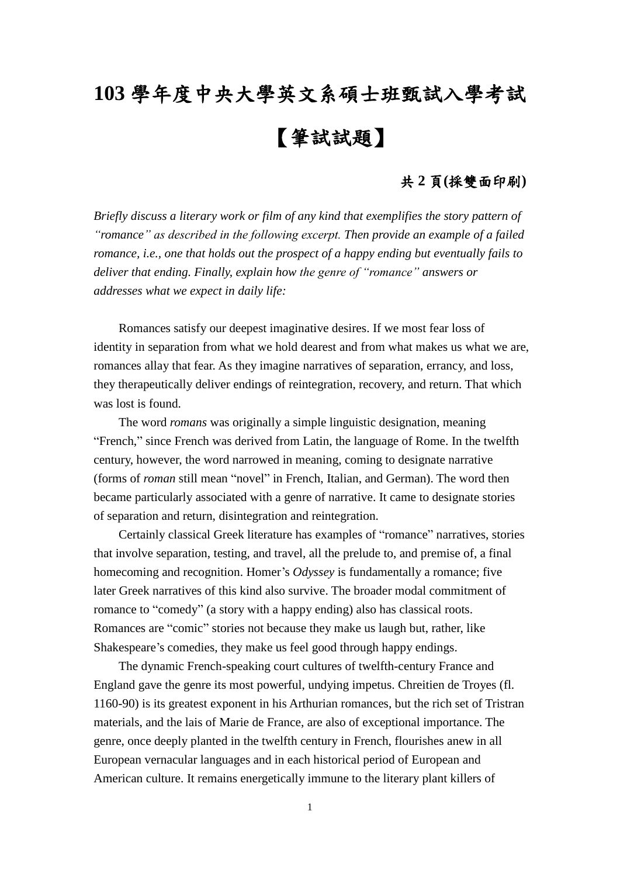## **103** 學年度中央大學英文系碩士班甄試入學考試 【筆試試題】

## 共 **2** 頁**(**採雙面印刷**)**

*Briefly discuss a literary work or film of any kind that exemplifies the story pattern of "romance" as described in the following excerpt. Then provide an example of a failed romance, i.e., one that holds out the prospect of a happy ending but eventually fails to deliver that ending. Finally, explain how the genre of "romance" answers or addresses what we expect in daily life:*

Romances satisfy our deepest imaginative desires. If we most fear loss of identity in separation from what we hold dearest and from what makes us what we are, romances allay that fear. As they imagine narratives of separation, errancy, and loss, they therapeutically deliver endings of reintegration, recovery, and return. That which was lost is found.

The word *romans* was originally a simple linguistic designation, meaning "French," since French was derived from Latin, the language of Rome. In the twelfth century, however, the word narrowed in meaning, coming to designate narrative (forms of *roman* still mean "novel" in French, Italian, and German). The word then became particularly associated with a genre of narrative. It came to designate stories of separation and return, disintegration and reintegration.

Certainly classical Greek literature has examples of "romance" narratives, stories that involve separation, testing, and travel, all the prelude to, and premise of, a final homecoming and recognition. Homer's *Odyssey* is fundamentally a romance; five later Greek narratives of this kind also survive. The broader modal commitment of romance to "comedy" (a story with a happy ending) also has classical roots. Romances are "comic" stories not because they make us laugh but, rather, like Shakespeare's comedies, they make us feel good through happy endings.

The dynamic French-speaking court cultures of twelfth-century France and England gave the genre its most powerful, undying impetus. Chreitien de Troyes (fl. 1160-90) is its greatest exponent in his Arthurian romances, but the rich set of Tristran materials, and the lais of Marie de France, are also of exceptional importance. The genre, once deeply planted in the twelfth century in French, flourishes anew in all European vernacular languages and in each historical period of European and American culture. It remains energetically immune to the literary plant killers of